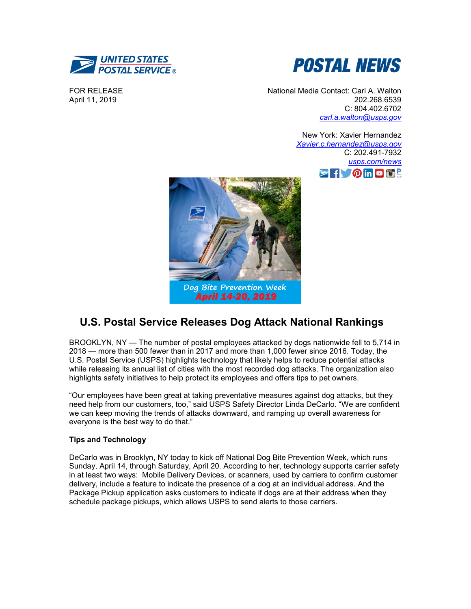



FOR RELEASE April 11, 2019

National Media Contact: Carl A. Walton 202.268.6539 C: 804.402.6702 *[carl.a.walton@usps.gov](mailto:carl.a.walton@usps.gov)*

> New York: Xavier Hernandez *[Xavier.c.hernandez@usps.gov](mailto:eva.m.jackson@usps.gov)* C: 202.491-7932 *[usps.com/news](http://www.usps.com/news)*  $\triangleright$ for  $\circ$  in  $\Box$  is  $\Box$



## **U.S. Postal Service Releases Dog Attack National Rankings**

BROOKLYN, NY — The number of postal employees attacked by dogs nationwide fell to 5,714 in 2018 — more than 500 fewer than in 2017 and more than 1,000 fewer since 2016. Today, the U.S. Postal Service (USPS) highlights technology that likely helps to reduce potential attacks while releasing its annual list of cities with the most recorded dog attacks. The organization also highlights safety initiatives to help protect its employees and offers tips to pet owners.

"Our employees have been great at taking preventative measures against dog attacks, but they need help from our customers, too," said USPS Safety Director Linda DeCarlo. "We are confident we can keep moving the trends of attacks downward, and ramping up overall awareness for everyone is the best way to do that."

## **Tips and Technology**

DeCarlo was in Brooklyn, NY today to kick off National Dog Bite Prevention Week, which runs Sunday, April 14, through Saturday, April 20. According to her, technology supports carrier safety in at least two ways: Mobile Delivery Devices, or scanners, used by carriers to confirm customer delivery, include a feature to indicate the presence of a dog at an individual address. And the Package Pickup application asks customers to indicate if dogs are at their address when they schedule package pickups, which allows USPS to send alerts to those carriers.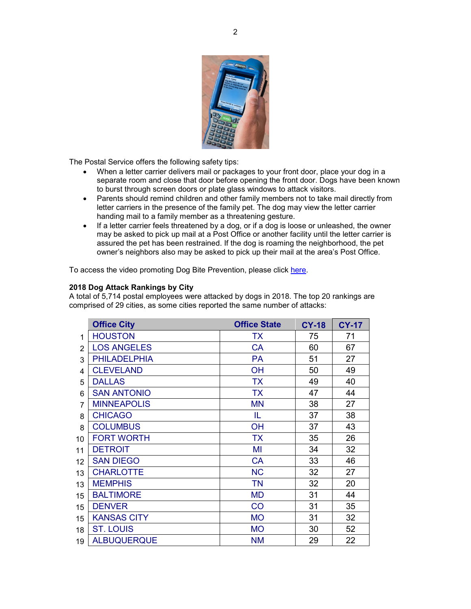

The Postal Service offers the following safety tips:

- When a letter carrier delivers mail or packages to your front door, place your dog in a separate room and close that door before opening the front door. Dogs have been known to burst through screen doors or plate glass windows to attack visitors.
- Parents should remind children and other family members not to take mail directly from letter carriers in the presence of the family pet. The dog may view the letter carrier handing mail to a family member as a threatening gesture.
- If a letter carrier feels threatened by a dog, or if a dog is loose or unleashed, the owner may be asked to pick up mail at a Post Office or another facility until the letter carrier is assured the pet has been restrained. If the dog is roaming the neighborhood, the pet owner's neighbors also may be asked to pick up their mail at the area's Post Office.

To access the video promoting Dog Bite Prevention, please click [here.](https://youtu.be/tF5T-eWieVk)

## **2018 Dog Attack Rankings by City**

A total of 5,714 postal employees were attacked by dogs in 2018. The top 20 rankings are comprised of 29 cities, as some cities reported the same number of attacks:

|    | <b>Office City</b>  | <b>Office State</b> | <b>CY-18</b> | <b>CY-17</b> |
|----|---------------------|---------------------|--------------|--------------|
| 1  | <b>HOUSTON</b>      | TX                  | 75           | 71           |
| 2  | <b>LOS ANGELES</b>  | <b>CA</b>           | 60           | 67           |
| 3  | <b>PHILADELPHIA</b> | PA                  | 51           | 27           |
| 4  | <b>CLEVELAND</b>    | OH                  | 50           | 49           |
| 5  | <b>DALLAS</b>       | <b>TX</b>           | 49           | 40           |
| 6  | <b>SAN ANTONIO</b>  | <b>TX</b>           | 47           | 44           |
| 7  | <b>MINNEAPOLIS</b>  | <b>MN</b>           | 38           | 27           |
| 8  | <b>CHICAGO</b>      | IL                  | 37           | 38           |
| 8  | <b>COLUMBUS</b>     | OH                  | 37           | 43           |
| 10 | <b>FORT WORTH</b>   | <b>TX</b>           | 35           | 26           |
| 11 | <b>DETROIT</b>      | MI                  | 34           | 32           |
| 12 | <b>SAN DIEGO</b>    | <b>CA</b>           | 33           | 46           |
| 13 | <b>CHARLOTTE</b>    | <b>NC</b>           | 32           | 27           |
| 13 | <b>MEMPHIS</b>      | <b>TN</b>           | 32           | 20           |
| 15 | <b>BALTIMORE</b>    | <b>MD</b>           | 31           | 44           |
| 15 | <b>DENVER</b>       | CO                  | 31           | 35           |
| 15 | <b>KANSAS CITY</b>  | <b>MO</b>           | 31           | 32           |
| 18 | <b>ST. LOUIS</b>    | <b>MO</b>           | 30           | 52           |
| 19 | <b>ALBUQUERQUE</b>  | <b>NM</b>           | 29           | 22           |